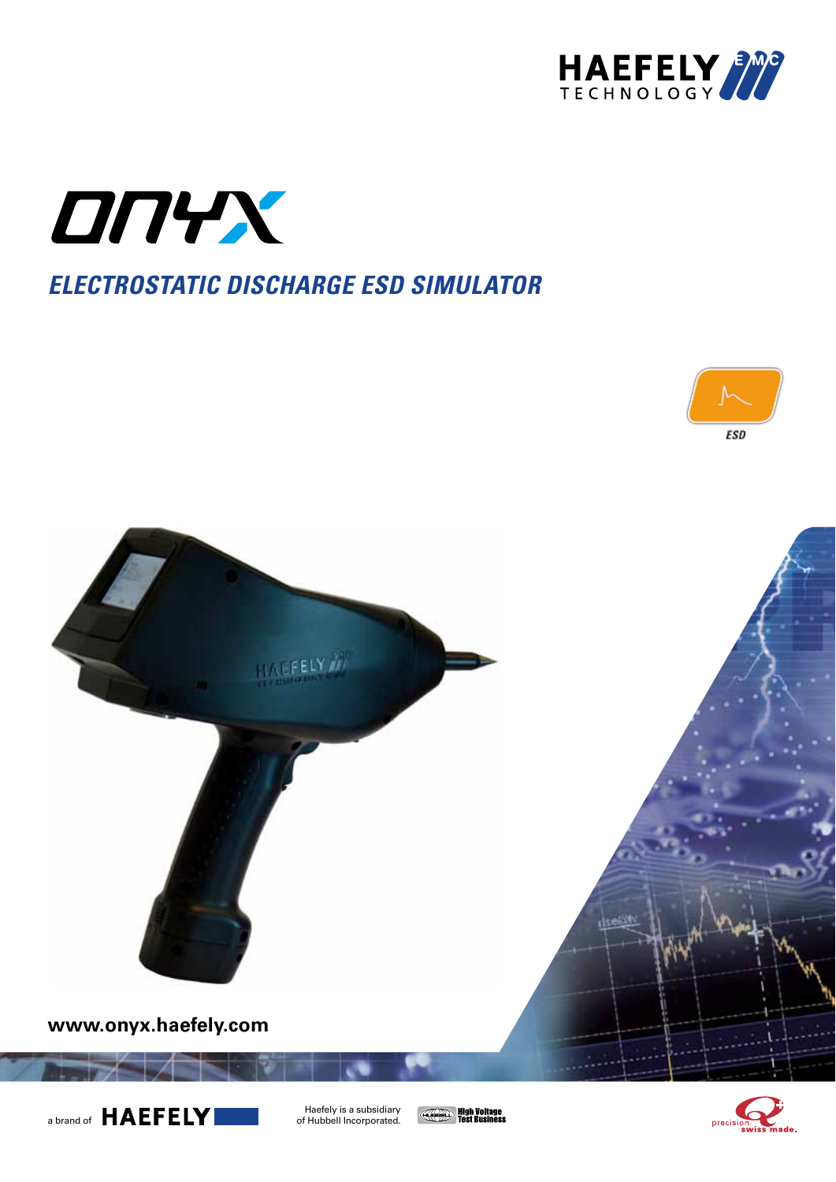



# **electrostatic discharge esd simulator**







Haefely is a subsidiary<br>of Hubbell Incorporated.

**CONFERENCE High Voltage** 

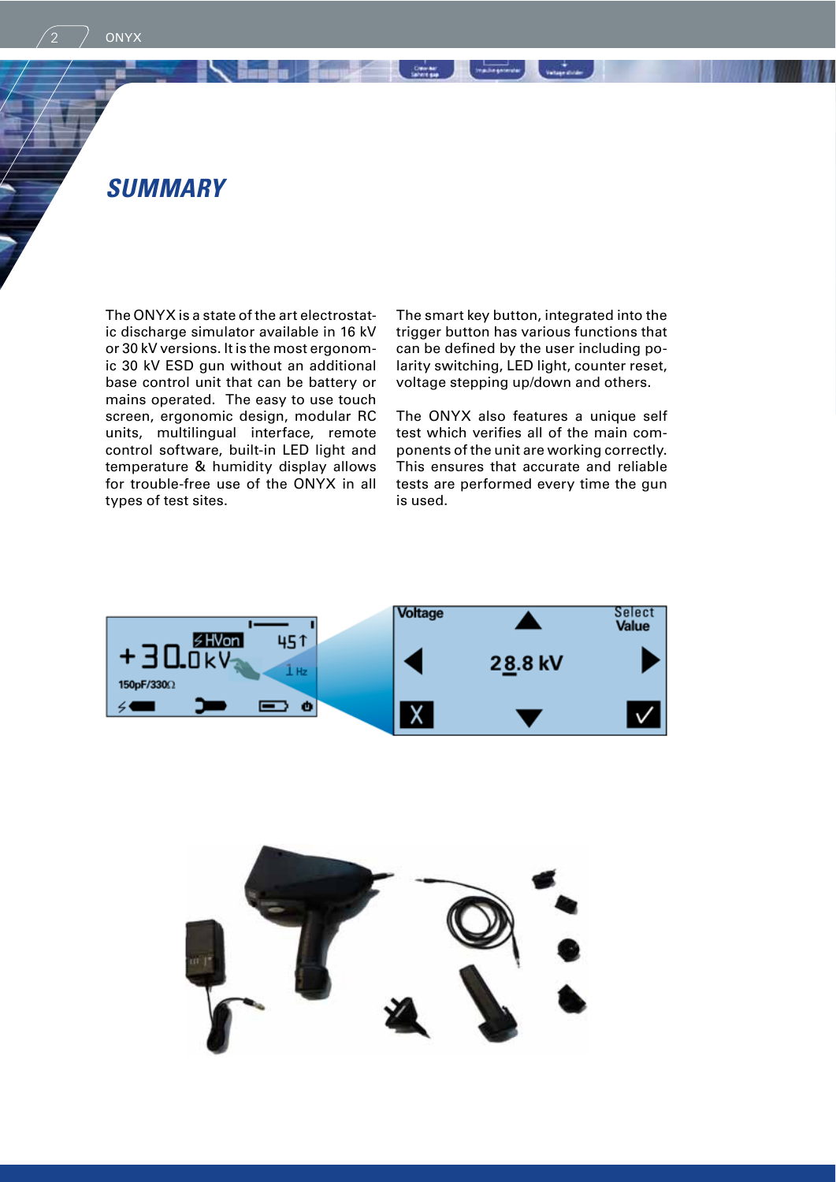**ONYX** 

The ONYX is a state of the art electrostatic discharge simulator available in 16 kV or 30 kV versions. It is the most ergonomic 30 kV ESD gun without an additional base control unit that can be battery or mains operated. The easy to use touch screen, ergonomic design, modular RC units, multilingual interface, remote control software, built-in LED light and temperature & humidity display allows for trouble-free use of the ONYX in all types of test sites.

The smart key button, integrated into the trigger button has various functions that can be defined by the user including polarity switching, LED light, counter reset, voltage stepping up/down and others.

**Symbogonesis** 

Course ...

 $rac{1}{2}$ 

The ONYX also features a unique self test which verifies all of the main components of the unit are working correctly. This ensures that accurate and reliable tests are performed every time the gun is used.



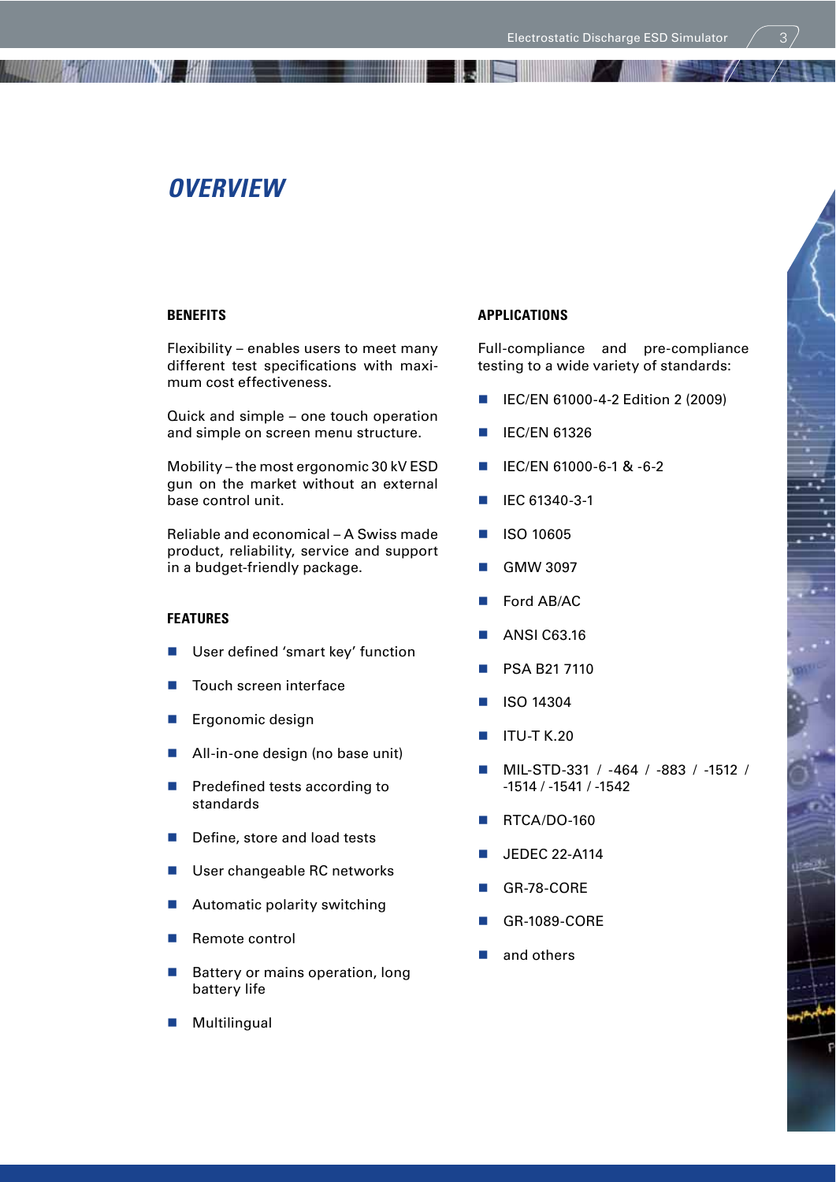# **overview**

## **BENEFITS**

Flexibility – enables users to meet many different test specifications with maximum cost effectiveness.

**The Contract of the Contract of the Contract of the Contract of the Contract of the Contract of the Contract o** 

Quick and simple – one touch operation and simple on screen menu structure.

Mobility – the most ergonomic 30 kV ESD gun on the market without an external base control unit.

Reliable and economical – A Swiss made product, reliability, service and support in a budget-friendly package.

#### **FEATURES**

- User defined 'smart key' function
- Touch screen interface
- Ergonomic design
- All-in-one design (no base unit)
- **Predefined tests according to** standards
- $\blacksquare$  Define, store and load tests
- User changeable RC networks
- Automatic polarity switching
- Remote control
- **Battery or mains operation, long** battery life

## **Multilingual**

## **APPLICATIONS**

Full-compliance and pre-compliance testing to a wide variety of standards:

- IEC/EN 61000-4-2 Edition 2 (2009)
- IEC/EN 61326
- IEC/EN 61000-6-1 & -6-2
- **IEC 61340-3-1**
- ISO 10605
- GMW 3097
- Ford AB/AC
- ANSI C63.16
- PSA B21 7110
- ISO 14304
- ITU-T K.20
- MIL-STD-331 / -464 / -883 / -1512 / -1514 / -1541 / -1542
- RTCA/DO-160
- JEDEC 22-A114
- GR-78-CORE
- GR-1089-CORE
- and others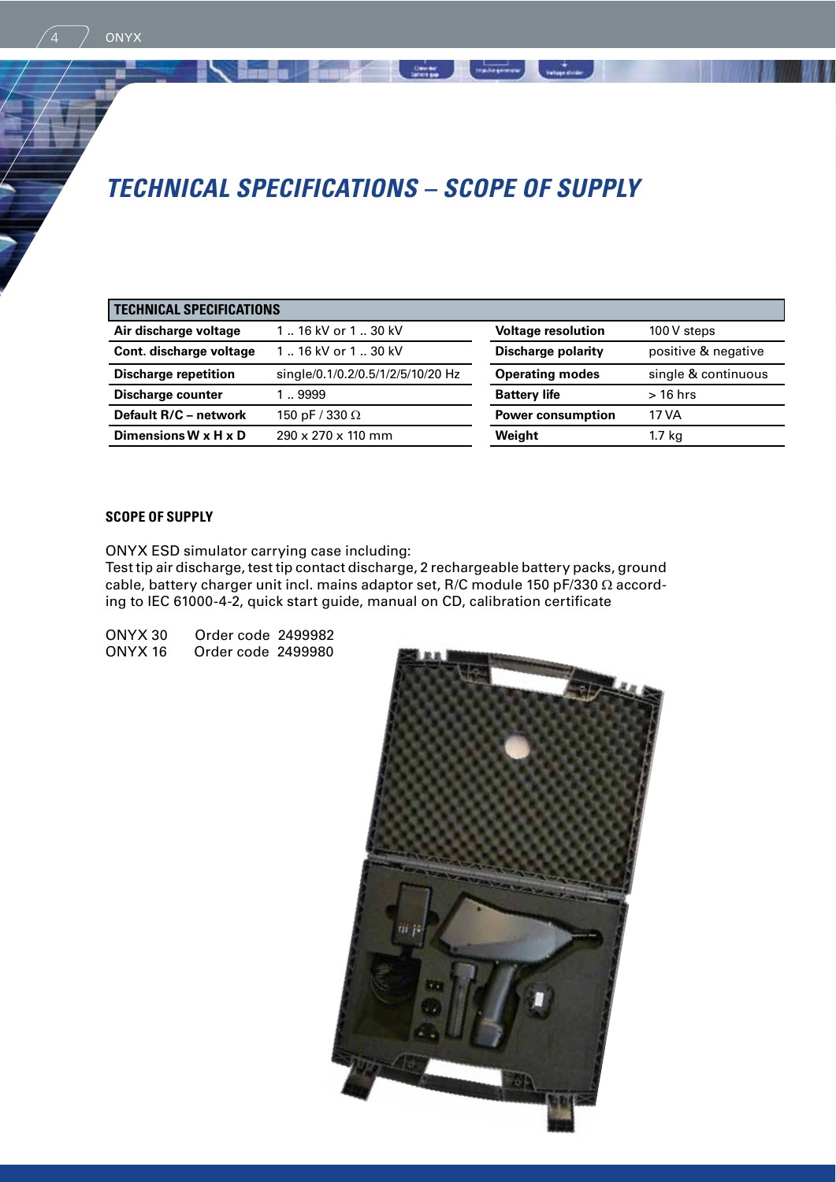# **technical sPeciFications – scoPe oF suPPly**

| <b>TECHNICAL SPECIFICATIONS</b> |                                   |                           |                     |  |  |
|---------------------------------|-----------------------------------|---------------------------|---------------------|--|--|
| Air discharge voltage           | 116 kV or 130 kV                  | <b>Voltage resolution</b> | 100 V steps         |  |  |
| Cont. discharge voltage         | 116 kV or 130 kV                  | <b>Discharge polarity</b> | positive & negative |  |  |
| <b>Discharge repetition</b>     | single/0.1/0.2/0.5/1/2/5/10/20 Hz | <b>Operating modes</b>    | single & continuous |  |  |
| Discharge counter               | 1.9999                            | <b>Battery life</b>       | $>16$ hrs           |  |  |
| Default R/C - network           | 150 pF / 330 $\Omega$             | <b>Power consumption</b>  | 17 VA               |  |  |
| Dimensions W x H x D            | 290 x 270 x 110 mm                | Weight                    | 1.7 kg              |  |  |

Crosser ...

**MADESHWAN** WARRANT

# **SCOPE OF SUPPLY**

**ONYX** 

ONYX ESD simulator carrying case including:

Test tip air discharge, test tip contact discharge, 2 rechargeable battery packs, ground cable, battery charger unit incl. mains adaptor set, R/C module 150 pF/330  $\Omega$  according to IEC 61000-4-2, quick start guide, manual on CD, calibration certificate

ONYX 30 Order code 2499982 Order code 2499980

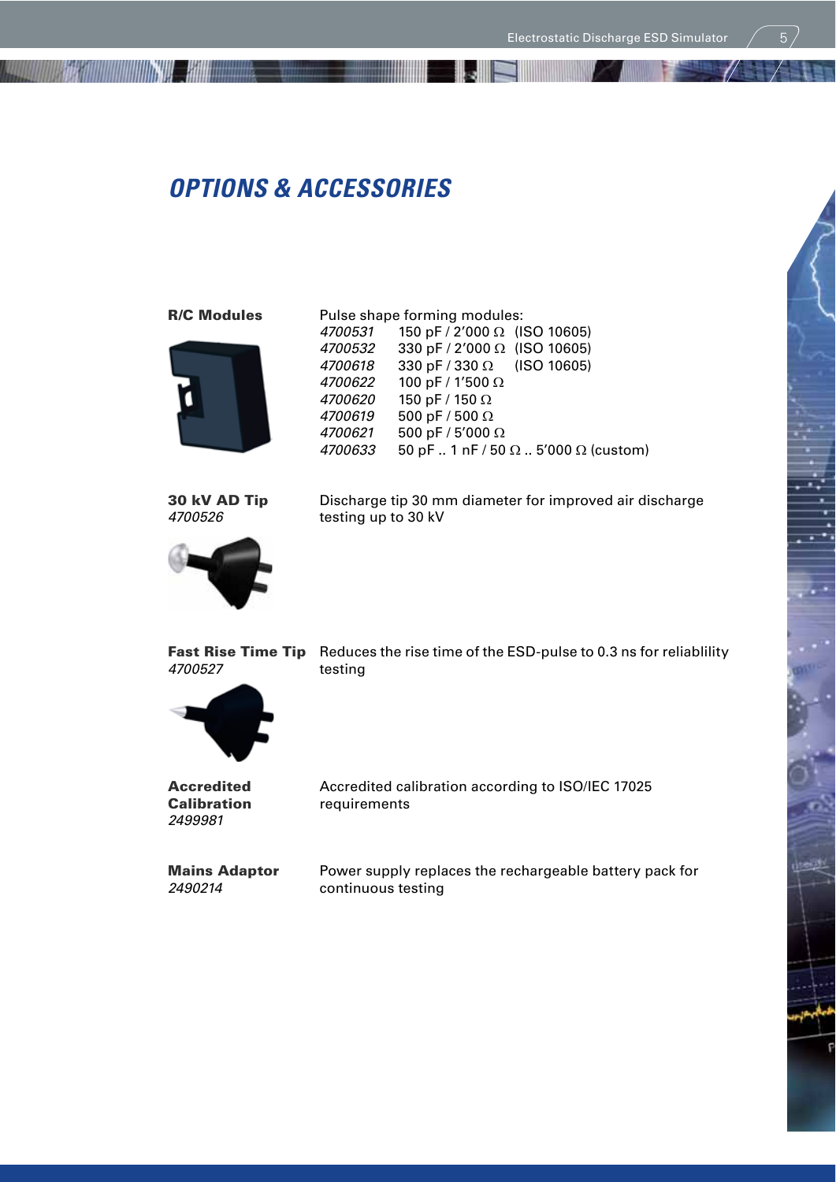# **oPtions & accessories**

**The continuum of the contract of the contract of the contract of the contract of the contract of the contract of the contract of the contract of the contract of the contract of the contract of the contract of the contract** 



**R/C Modules** Pulse shape forming modules:<br> $4700531$  150 pF / 2'000  $\Omega$  (I)  $4700531$  150 pF / 2'000  $\Omega$  (ISO 10605)<br> $4700532$  330 pF / 2'000  $\Omega$  (ISO 10605)  $4700532$  330 pF / 2'000  $\Omega$  (ISO 10605)<br> $4700618$  330 pF / 330  $\Omega$  (ISO 10605)  $330 pF / 330 \Omega$  (ISO 10605) 4700622 100 pF / 1'500 Ω 4700620 150 pF / 150 Ω 4700619 500 pF / 500  $\Omega$ 4700621 500 pF / 5'000  $\Omega$ 4700633 50 pF .. 1 nF / 50  $\Omega$  .. 5'000  $\Omega$  (custom)

- I.J



**30 kV AD Tip** Discharge tip 30 mm diameter for improved air discharge<br>4700526 testing up to 30 kV testing up to 30 kV

Fast Rise Time Tip Reduces the rise time of the ESD-pulse to 0.3 ns for reliablility 4700527 testing



2499981

Accredited Accredited calibration according to ISO/IEC 17025 Calibration requirements

**Mains Adaptor** Power supply replaces the rechargeable battery pack for <br> **2490214** continuous testing continuous testing

p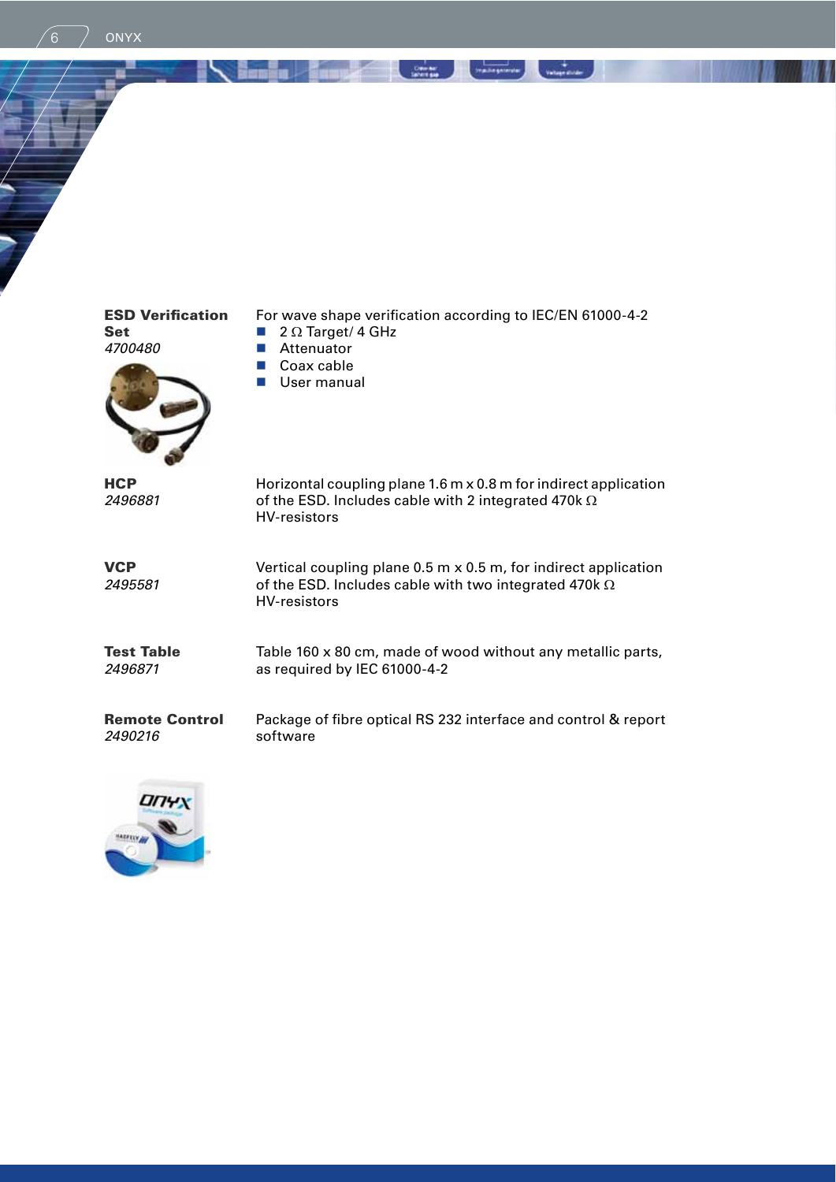Set  $\qquad \qquad \blacksquare$  2  $\Omega$  Target/ 4 GHz<br>4700480  $\qquad \qquad \blacksquare$  Attenuator

 $\begin{matrix} 6 \end{matrix}$  ONYX



**ESD Verification** For wave shape verification according to IEC/EN 61000-4-2<br>Set **a** 2 Ω Target/ 4 GHz

**READ AND CONTRACT CONTRACT AND SECURITY OF READ PROPERTY.** 

- 
- Attenuator
- Coax cable
- **User manual**

| <b>HCP</b><br>2496881            | Horizontal coupling plane 1.6 m x 0.8 m for indirect application<br>of the ESD. Includes cable with 2 integrated 470k $\Omega$<br>HV-resistors                  |
|----------------------------------|-----------------------------------------------------------------------------------------------------------------------------------------------------------------|
| <b>VCP</b><br>2495581            | Vertical coupling plane $0.5$ m $\times$ 0.5 m, for indirect application<br>of the ESD. Includes cable with two integrated 470k $\Omega$<br><b>HV-resistors</b> |
| <b>Test Table</b><br>2496871     | Table 160 x 80 cm, made of wood without any metallic parts,<br>as required by IEC 61000-4-2                                                                     |
| <b>Remote Control</b><br>2490216 | Package of fibre optical RS 232 interface and control & report<br>software                                                                                      |
|                                  |                                                                                                                                                                 |

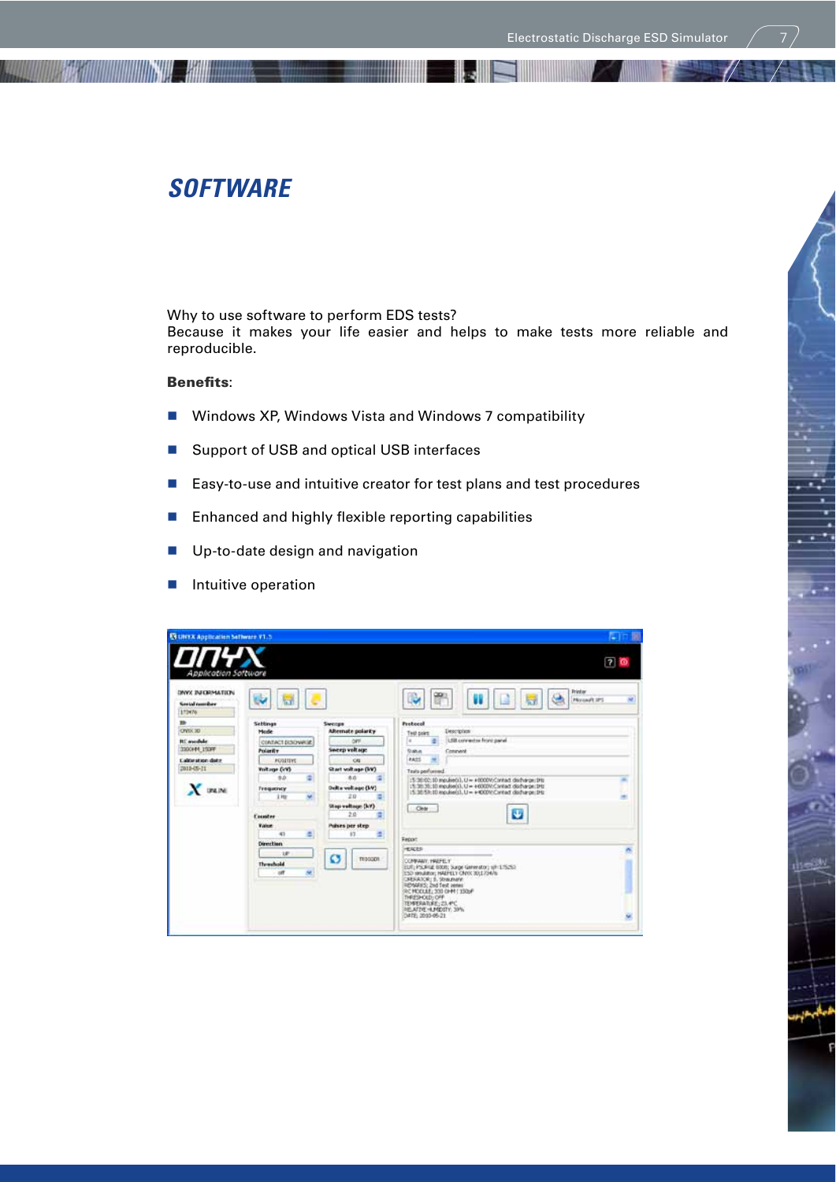# **soFtware**

<u> Isabel III (Inggrishta III (Inggrishta III (Inggrishta III (Inggrishta II (Inggrishta II (Inggrishta II (Inggrishta II (Inggrishta II (Inggrishta II (Inggrishta II (Inggrishta II (Inggrishta II (Inggrishta II (Inggrishta</u>

Why to use software to perform EDS tests? Because it makes your life easier and helps to make tests more reliable and reproducible.

## Benefits:

- Windows XP, Windows Vista and Windows 7 compatibility
- Support of USB and optical USB interfaces
- Easy-to-use and intuitive creator for test plans and test procedures
- **H** Enhanced and highly flexible reporting capabilities
- **Up-to-date design and navigation**
- **I** Intuitive operation

| Application Software                                                                                    |                                                                                                                                                                  |                                                                                                                                                                            |                                                                                                                                                                                                                                                                                                                                                | 70 |
|---------------------------------------------------------------------------------------------------------|------------------------------------------------------------------------------------------------------------------------------------------------------------------|----------------------------------------------------------------------------------------------------------------------------------------------------------------------------|------------------------------------------------------------------------------------------------------------------------------------------------------------------------------------------------------------------------------------------------------------------------------------------------------------------------------------------------|----|
| <b><i>DNYX INFORMATION</i></b><br><b>Service recordiary</b><br>173476                                   |                                                                                                                                                                  |                                                                                                                                                                            | <b>Printer</b><br>w<br>Microsoft SPS                                                                                                                                                                                                                                                                                                           | ×  |
| 黔<br>OWK 30<br><b>BC</b> woulder<br>330044 1939F<br><b>Californizion distri</b><br>2010-05-21<br>X DEAM | Settings<br>Mode<br>CONTACT DISCHARGE<br>Polarity<br><b>POSITIVE</b><br><b>Voltage (49)</b><br>th.b<br><b>Trequency</b><br>110<br><b>Counter</b><br><b>Value</b> | Swerge<br>Alternate polarity<br>Sweep voltage<br><b>CAL</b><br>Start walkage (WV)<br>8.0<br>Oulta voltage (kV)<br>2.0<br><b>Stap voltage (kV)</b><br>20<br>Puises per strp | <b>Probocol</b><br>Description<br>Test point<br>LSB connective front panel.<br>l a<br><b>Date</b><br>Congwell<br><b>FASS</b><br>Texts performed<br>(5:36:02:10 mpulse(s), U ~ +0000V/Cantact discharge: Dfs.<br>(5:36:35;10 mp./sec),1/ = +6000V;Cantad_discharge:IHz<br>(5:38:53:10 repulsed), U = +4000V/Crrhet discharge: IHz<br>Clear<br>o |    |
|                                                                                                         | 41<br>÷<br><b>Direction</b><br>$10^{\circ}$<br>Thrashold<br>m.<br><b>off</b>                                                                                     | 13<br>ø<br>T000001                                                                                                                                                         | Febra:<br><b>HEACES</b><br>CONFIDENT, 1992FELY<br>EUT) PSURILE 8000; Surge Generator; (@11/5252)<br>ESD NINJEROY, HALFELY CAYO: 30;173476<br>CRESATOR: S. Strautnahn<br><b>IIENARIS: 2nd Test venes</b><br>ACHODULE: 330 OHN / 150xF<br>THRESHOLD: OFF<br>TEMPERATURE: 23,4°C<br><b>INSURTHE HUMBOTH: 30%</b><br>0478 2010-05-21               |    |